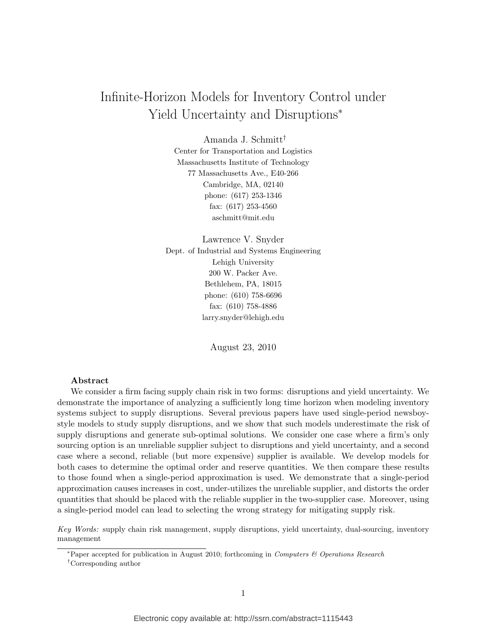# Infinite-Horizon Models for Inventory Control under Yield Uncertainty and Disruptions<sup>∗</sup>

Amanda J. Schmitt† Center for Transportation and Logistics Massachusetts Institute of Technology 77 Massachusetts Ave., E40-266 Cambridge, MA, 02140 phone: (617) 253-1346 fax: (617) 253-4560 aschmitt@mit.edu

Lawrence V. Snyder Dept. of Industrial and Systems Engineering Lehigh University 200 W. Packer Ave. Bethlehem, PA, 18015 phone: (610) 758-6696 fax: (610) 758-4886 larry.snyder@lehigh.edu

August 23, 2010

#### Abstract

We consider a firm facing supply chain risk in two forms: disruptions and yield uncertainty. We demonstrate the importance of analyzing a sufficiently long time horizon when modeling inventory systems subject to supply disruptions. Several previous papers have used single-period newsboystyle models to study supply disruptions, and we show that such models underestimate the risk of supply disruptions and generate sub-optimal solutions. We consider one case where a firm's only sourcing option is an unreliable supplier subject to disruptions and yield uncertainty, and a second case where a second, reliable (but more expensive) supplier is available. We develop models for both cases to determine the optimal order and reserve quantities. We then compare these results to those found when a single-period approximation is used. We demonstrate that a single-period approximation causes increases in cost, under-utilizes the unreliable supplier, and distorts the order quantities that should be placed with the reliable supplier in the two-supplier case. Moreover, using a single-period model can lead to selecting the wrong strategy for mitigating supply risk.

Key Words: supply chain risk management, supply disruptions, yield uncertainty, dual-sourcing, inventory management

<sup>∗</sup>Paper accepted for publication in August 2010; forthcoming in Computers & Operations Research

<sup>†</sup>Corresponding author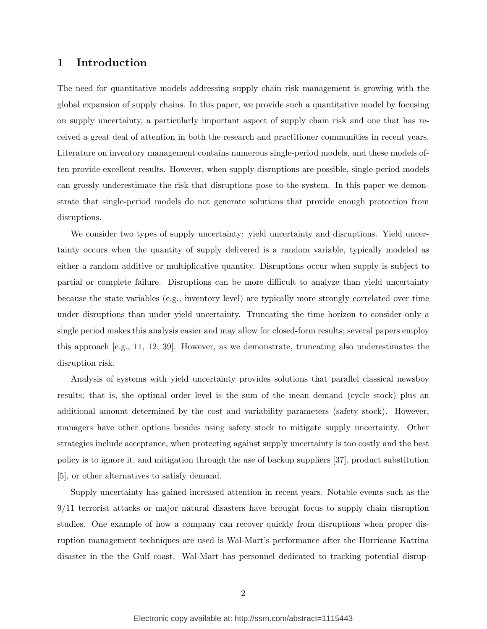## 1 Introduction

The need for quantitative models addressing supply chain risk management is growing with the global expansion of supply chains. In this paper, we provide such a quantitative model by focusing on supply uncertainty, a particularly important aspect of supply chain risk and one that has received a great deal of attention in both the research and practitioner communities in recent years. Literature on inventory management contains numerous single-period models, and these models often provide excellent results. However, when supply disruptions are possible, single-period models can grossly underestimate the risk that disruptions pose to the system. In this paper we demonstrate that single-period models do not generate solutions that provide enough protection from disruptions.

We consider two types of supply uncertainty: yield uncertainty and disruptions. Yield uncertainty occurs when the quantity of supply delivered is a random variable, typically modeled as either a random additive or multiplicative quantity. Disruptions occur when supply is subject to partial or complete failure. Disruptions can be more difficult to analyze than yield uncertainty because the state variables (e.g., inventory level) are typically more strongly correlated over time under disruptions than under yield uncertainty. Truncating the time horizon to consider only a single period makes this analysis easier and may allow for closed-form results; several papers employ this approach [e.g., 11, 12, 39]. However, as we demonstrate, truncating also underestimates the disruption risk.

Analysis of systems with yield uncertainty provides solutions that parallel classical newsboy results; that is, the optimal order level is the sum of the mean demand (cycle stock) plus an additional amount determined by the cost and variability parameters (safety stock). However, managers have other options besides using safety stock to mitigate supply uncertainty. Other strategies include acceptance, when protecting against supply uncertainty is too costly and the best policy is to ignore it, and mitigation through the use of backup suppliers [37], product substitution [5], or other alternatives to satisfy demand.

Supply uncertainty has gained increased attention in recent years. Notable events such as the 9/11 terrorist attacks or major natural disasters have brought focus to supply chain disruption studies. One example of how a company can recover quickly from disruptions when proper disruption management techniques are used is Wal-Mart's performance after the Hurricane Katrina disaster in the the Gulf coast. Wal-Mart has personnel dedicated to tracking potential disrup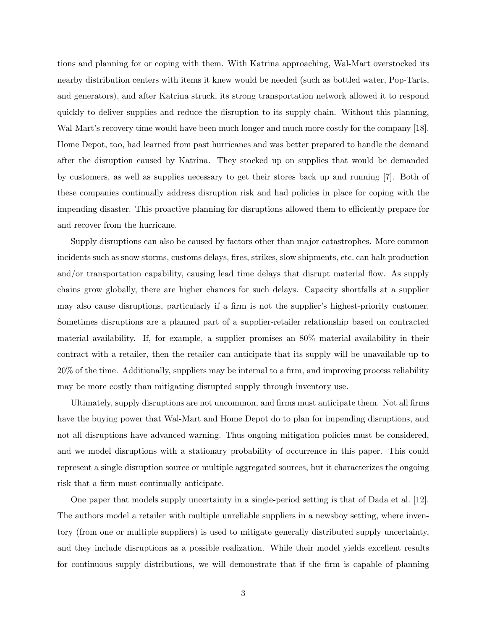tions and planning for or coping with them. With Katrina approaching, Wal-Mart overstocked its nearby distribution centers with items it knew would be needed (such as bottled water, Pop-Tarts, and generators), and after Katrina struck, its strong transportation network allowed it to respond quickly to deliver supplies and reduce the disruption to its supply chain. Without this planning, Wal-Mart's recovery time would have been much longer and much more costly for the company [18]. Home Depot, too, had learned from past hurricanes and was better prepared to handle the demand after the disruption caused by Katrina. They stocked up on supplies that would be demanded by customers, as well as supplies necessary to get their stores back up and running [7]. Both of these companies continually address disruption risk and had policies in place for coping with the impending disaster. This proactive planning for disruptions allowed them to efficiently prepare for and recover from the hurricane.

Supply disruptions can also be caused by factors other than major catastrophes. More common incidents such as snow storms, customs delays, fires, strikes, slow shipments, etc. can halt production and/or transportation capability, causing lead time delays that disrupt material flow. As supply chains grow globally, there are higher chances for such delays. Capacity shortfalls at a supplier may also cause disruptions, particularly if a firm is not the supplier's highest-priority customer. Sometimes disruptions are a planned part of a supplier-retailer relationship based on contracted material availability. If, for example, a supplier promises an 80% material availability in their contract with a retailer, then the retailer can anticipate that its supply will be unavailable up to 20% of the time. Additionally, suppliers may be internal to a firm, and improving process reliability may be more costly than mitigating disrupted supply through inventory use.

Ultimately, supply disruptions are not uncommon, and firms must anticipate them. Not all firms have the buying power that Wal-Mart and Home Depot do to plan for impending disruptions, and not all disruptions have advanced warning. Thus ongoing mitigation policies must be considered, and we model disruptions with a stationary probability of occurrence in this paper. This could represent a single disruption source or multiple aggregated sources, but it characterizes the ongoing risk that a firm must continually anticipate.

One paper that models supply uncertainty in a single-period setting is that of Dada et al. [12]. The authors model a retailer with multiple unreliable suppliers in a newsboy setting, where inventory (from one or multiple suppliers) is used to mitigate generally distributed supply uncertainty, and they include disruptions as a possible realization. While their model yields excellent results for continuous supply distributions, we will demonstrate that if the firm is capable of planning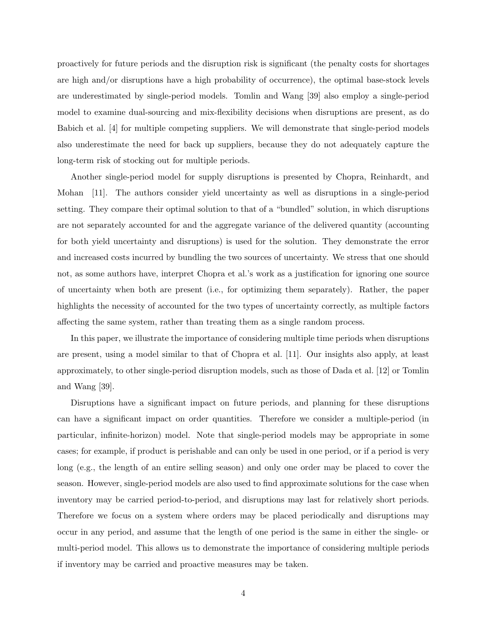proactively for future periods and the disruption risk is significant (the penalty costs for shortages are high and/or disruptions have a high probability of occurrence), the optimal base-stock levels are underestimated by single-period models. Tomlin and Wang [39] also employ a single-period model to examine dual-sourcing and mix-flexibility decisions when disruptions are present, as do Babich et al. [4] for multiple competing suppliers. We will demonstrate that single-period models also underestimate the need for back up suppliers, because they do not adequately capture the long-term risk of stocking out for multiple periods.

Another single-period model for supply disruptions is presented by Chopra, Reinhardt, and Mohan [11]. The authors consider yield uncertainty as well as disruptions in a single-period setting. They compare their optimal solution to that of a "bundled" solution, in which disruptions are not separately accounted for and the aggregate variance of the delivered quantity (accounting for both yield uncertainty and disruptions) is used for the solution. They demonstrate the error and increased costs incurred by bundling the two sources of uncertainty. We stress that one should not, as some authors have, interpret Chopra et al.'s work as a justification for ignoring one source of uncertainty when both are present (i.e., for optimizing them separately). Rather, the paper highlights the necessity of accounted for the two types of uncertainty correctly, as multiple factors affecting the same system, rather than treating them as a single random process.

In this paper, we illustrate the importance of considering multiple time periods when disruptions are present, using a model similar to that of Chopra et al. [11]. Our insights also apply, at least approximately, to other single-period disruption models, such as those of Dada et al. [12] or Tomlin and Wang [39].

Disruptions have a significant impact on future periods, and planning for these disruptions can have a significant impact on order quantities. Therefore we consider a multiple-period (in particular, infinite-horizon) model. Note that single-period models may be appropriate in some cases; for example, if product is perishable and can only be used in one period, or if a period is very long (e.g., the length of an entire selling season) and only one order may be placed to cover the season. However, single-period models are also used to find approximate solutions for the case when inventory may be carried period-to-period, and disruptions may last for relatively short periods. Therefore we focus on a system where orders may be placed periodically and disruptions may occur in any period, and assume that the length of one period is the same in either the single- or multi-period model. This allows us to demonstrate the importance of considering multiple periods if inventory may be carried and proactive measures may be taken.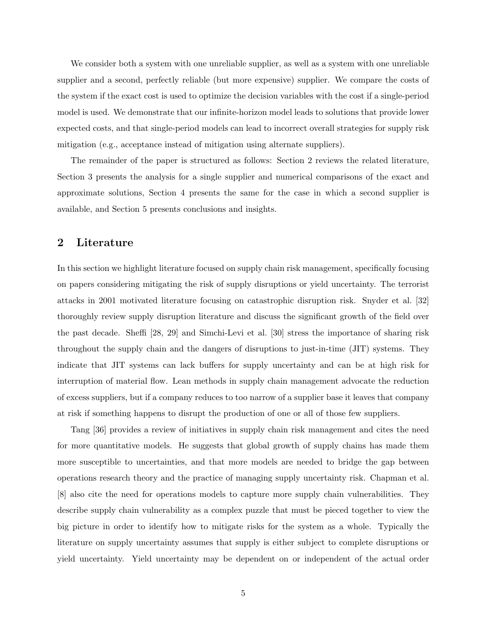We consider both a system with one unreliable supplier, as well as a system with one unreliable supplier and a second, perfectly reliable (but more expensive) supplier. We compare the costs of the system if the exact cost is used to optimize the decision variables with the cost if a single-period model is used. We demonstrate that our infinite-horizon model leads to solutions that provide lower expected costs, and that single-period models can lead to incorrect overall strategies for supply risk mitigation (e.g., acceptance instead of mitigation using alternate suppliers).

The remainder of the paper is structured as follows: Section 2 reviews the related literature, Section 3 presents the analysis for a single supplier and numerical comparisons of the exact and approximate solutions, Section 4 presents the same for the case in which a second supplier is available, and Section 5 presents conclusions and insights.

## 2 Literature

In this section we highlight literature focused on supply chain risk management, specifically focusing on papers considering mitigating the risk of supply disruptions or yield uncertainty. The terrorist attacks in 2001 motivated literature focusing on catastrophic disruption risk. Snyder et al. [32] thoroughly review supply disruption literature and discuss the significant growth of the field over the past decade. Sheffi [28, 29] and Simchi-Levi et al. [30] stress the importance of sharing risk throughout the supply chain and the dangers of disruptions to just-in-time (JIT) systems. They indicate that JIT systems can lack buffers for supply uncertainty and can be at high risk for interruption of material flow. Lean methods in supply chain management advocate the reduction of excess suppliers, but if a company reduces to too narrow of a supplier base it leaves that company at risk if something happens to disrupt the production of one or all of those few suppliers.

Tang [36] provides a review of initiatives in supply chain risk management and cites the need for more quantitative models. He suggests that global growth of supply chains has made them more susceptible to uncertainties, and that more models are needed to bridge the gap between operations research theory and the practice of managing supply uncertainty risk. Chapman et al. [8] also cite the need for operations models to capture more supply chain vulnerabilities. They describe supply chain vulnerability as a complex puzzle that must be pieced together to view the big picture in order to identify how to mitigate risks for the system as a whole. Typically the literature on supply uncertainty assumes that supply is either subject to complete disruptions or yield uncertainty. Yield uncertainty may be dependent on or independent of the actual order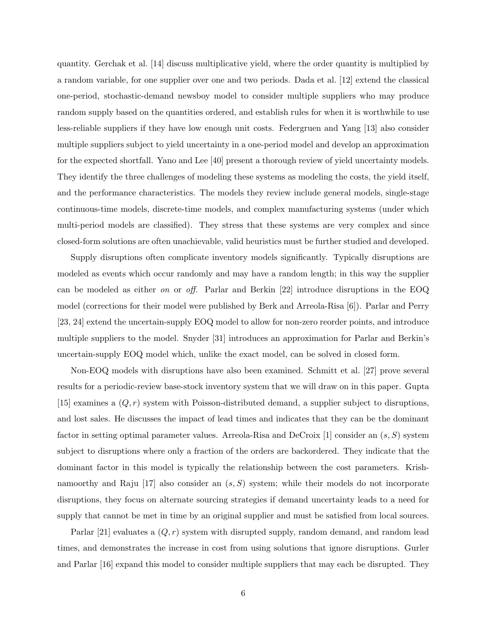quantity. Gerchak et al. [14] discuss multiplicative yield, where the order quantity is multiplied by a random variable, for one supplier over one and two periods. Dada et al. [12] extend the classical one-period, stochastic-demand newsboy model to consider multiple suppliers who may produce random supply based on the quantities ordered, and establish rules for when it is worthwhile to use less-reliable suppliers if they have low enough unit costs. Federgruen and Yang [13] also consider multiple suppliers subject to yield uncertainty in a one-period model and develop an approximation for the expected shortfall. Yano and Lee [40] present a thorough review of yield uncertainty models. They identify the three challenges of modeling these systems as modeling the costs, the yield itself, and the performance characteristics. The models they review include general models, single-stage continuous-time models, discrete-time models, and complex manufacturing systems (under which multi-period models are classified). They stress that these systems are very complex and since closed-form solutions are often unachievable, valid heuristics must be further studied and developed.

Supply disruptions often complicate inventory models significantly. Typically disruptions are modeled as events which occur randomly and may have a random length; in this way the supplier can be modeled as either on or off. Parlar and Berkin [22] introduce disruptions in the EOQ model (corrections for their model were published by Berk and Arreola-Risa [6]). Parlar and Perry [23, 24] extend the uncertain-supply EOQ model to allow for non-zero reorder points, and introduce multiple suppliers to the model. Snyder [31] introduces an approximation for Parlar and Berkin's uncertain-supply EOQ model which, unlike the exact model, can be solved in closed form.

Non-EOQ models with disruptions have also been examined. Schmitt et al. [27] prove several results for a periodic-review base-stock inventory system that we will draw on in this paper. Gupta [15] examines a  $(Q, r)$  system with Poisson-distributed demand, a supplier subject to disruptions, and lost sales. He discusses the impact of lead times and indicates that they can be the dominant factor in setting optimal parameter values. Arreola-Risa and DeCroix  $|1|$  consider an  $(s, S)$  system subject to disruptions where only a fraction of the orders are backordered. They indicate that the dominant factor in this model is typically the relationship between the cost parameters. Krishnamoorthy and Raju [17] also consider an  $(s, S)$  system; while their models do not incorporate disruptions, they focus on alternate sourcing strategies if demand uncertainty leads to a need for supply that cannot be met in time by an original supplier and must be satisfied from local sources.

Parlar [21] evaluates a  $(Q, r)$  system with disrupted supply, random demand, and random lead times, and demonstrates the increase in cost from using solutions that ignore disruptions. Gurler and Parlar [16] expand this model to consider multiple suppliers that may each be disrupted. They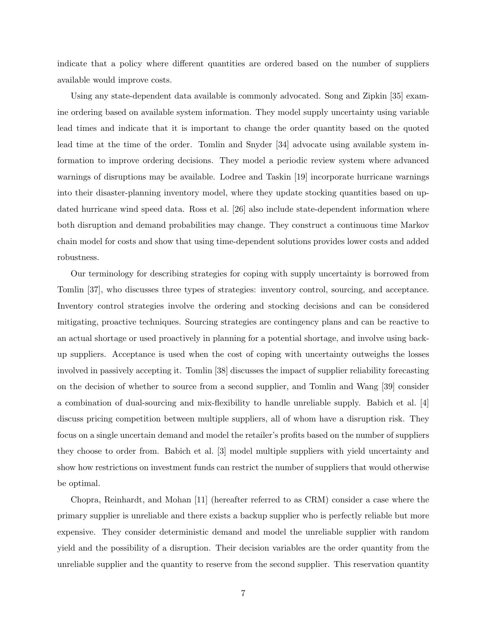indicate that a policy where different quantities are ordered based on the number of suppliers available would improve costs.

Using any state-dependent data available is commonly advocated. Song and Zipkin [35] examine ordering based on available system information. They model supply uncertainty using variable lead times and indicate that it is important to change the order quantity based on the quoted lead time at the time of the order. Tomlin and Snyder [34] advocate using available system information to improve ordering decisions. They model a periodic review system where advanced warnings of disruptions may be available. Lodree and Taskin [19] incorporate hurricane warnings into their disaster-planning inventory model, where they update stocking quantities based on updated hurricane wind speed data. Ross et al. [26] also include state-dependent information where both disruption and demand probabilities may change. They construct a continuous time Markov chain model for costs and show that using time-dependent solutions provides lower costs and added robustness.

Our terminology for describing strategies for coping with supply uncertainty is borrowed from Tomlin [37], who discusses three types of strategies: inventory control, sourcing, and acceptance. Inventory control strategies involve the ordering and stocking decisions and can be considered mitigating, proactive techniques. Sourcing strategies are contingency plans and can be reactive to an actual shortage or used proactively in planning for a potential shortage, and involve using backup suppliers. Acceptance is used when the cost of coping with uncertainty outweighs the losses involved in passively accepting it. Tomlin [38] discusses the impact of supplier reliability forecasting on the decision of whether to source from a second supplier, and Tomlin and Wang [39] consider a combination of dual-sourcing and mix-flexibility to handle unreliable supply. Babich et al. [4] discuss pricing competition between multiple suppliers, all of whom have a disruption risk. They focus on a single uncertain demand and model the retailer's profits based on the number of suppliers they choose to order from. Babich et al. [3] model multiple suppliers with yield uncertainty and show how restrictions on investment funds can restrict the number of suppliers that would otherwise be optimal.

Chopra, Reinhardt, and Mohan [11] (hereafter referred to as CRM) consider a case where the primary supplier is unreliable and there exists a backup supplier who is perfectly reliable but more expensive. They consider deterministic demand and model the unreliable supplier with random yield and the possibility of a disruption. Their decision variables are the order quantity from the unreliable supplier and the quantity to reserve from the second supplier. This reservation quantity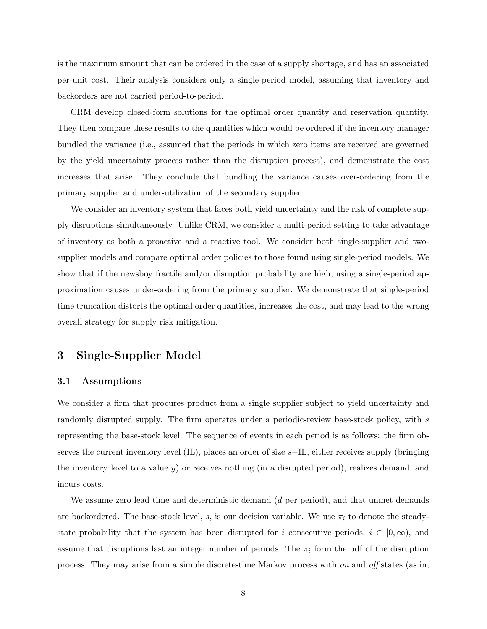is the maximum amount that can be ordered in the case of a supply shortage, and has an associated per-unit cost. Their analysis considers only a single-period model, assuming that inventory and backorders are not carried period-to-period.

CRM develop closed-form solutions for the optimal order quantity and reservation quantity. They then compare these results to the quantities which would be ordered if the inventory manager bundled the variance (i.e., assumed that the periods in which zero items are received are governed by the yield uncertainty process rather than the disruption process), and demonstrate the cost increases that arise. They conclude that bundling the variance causes over-ordering from the primary supplier and under-utilization of the secondary supplier.

We consider an inventory system that faces both yield uncertainty and the risk of complete supply disruptions simultaneously. Unlike CRM, we consider a multi-period setting to take advantage of inventory as both a proactive and a reactive tool. We consider both single-supplier and twosupplier models and compare optimal order policies to those found using single-period models. We show that if the newsboy fractile and/or disruption probability are high, using a single-period approximation causes under-ordering from the primary supplier. We demonstrate that single-period time truncation distorts the optimal order quantities, increases the cost, and may lead to the wrong overall strategy for supply risk mitigation.

## 3 Single-Supplier Model

#### 3.1 Assumptions

We consider a firm that procures product from a single supplier subject to yield uncertainty and randomly disrupted supply. The firm operates under a periodic-review base-stock policy, with s representing the base-stock level. The sequence of events in each period is as follows: the firm observes the current inventory level (IL), places an order of size s−IL, either receives supply (bringing the inventory level to a value y) or receives nothing (in a disrupted period), realizes demand, and incurs costs.

We assume zero lead time and deterministic demand (d per period), and that unmet demands are backordered. The base-stock level, s, is our decision variable. We use  $\pi_i$  to denote the steadystate probability that the system has been disrupted for i consecutive periods,  $i \in [0, \infty)$ , and assume that disruptions last an integer number of periods. The  $\pi_i$  form the pdf of the disruption process. They may arise from a simple discrete-time Markov process with on and off states (as in,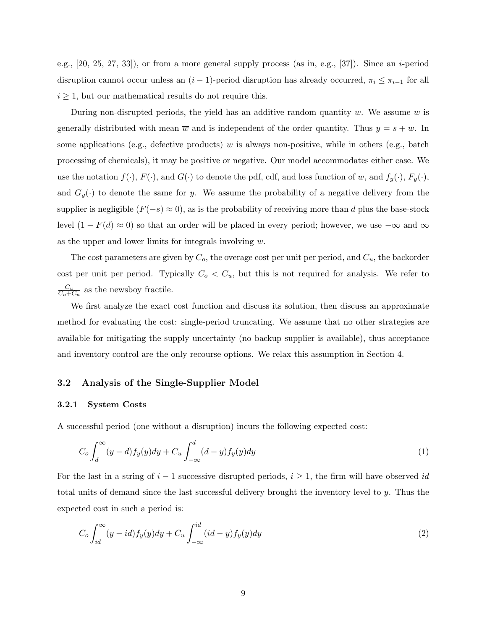e.g.,  $[20, 25, 27, 33]$ , or from a more general supply process (as in, e.g.,  $[37]$ ). Since an *i*-period disruption cannot occur unless an  $(i - 1)$ -period disruption has already occurred,  $\pi_i \leq \pi_{i-1}$  for all  $i \geq 1$ , but our mathematical results do not require this.

During non-disrupted periods, the yield has an additive random quantity  $w$ . We assume  $w$  is generally distributed with mean  $\overline{w}$  and is independent of the order quantity. Thus  $y = s + w$ . In some applications (e.g., defective products) w is always non-positive, while in others (e.g., batch processing of chemicals), it may be positive or negative. Our model accommodates either case. We use the notation  $f(\cdot)$ ,  $F(\cdot)$ , and  $G(\cdot)$  to denote the pdf, cdf, and loss function of w, and  $f_y(\cdot)$ ,  $F_y(\cdot)$ , and  $G_y(\cdot)$  to denote the same for y. We assume the probability of a negative delivery from the supplier is negligible  $(F(-s) \approx 0)$ , as is the probability of receiving more than d plus the base-stock level  $(1 - F(d) \approx 0)$  so that an order will be placed in every period; however, we use  $-\infty$  and  $\infty$ as the upper and lower limits for integrals involving w.

The cost parameters are given by  $C_o$ , the overage cost per unit per period, and  $C_u$ , the backorder cost per unit per period. Typically  $C<sub>o</sub> < C<sub>u</sub>$ , but this is not required for analysis. We refer to  $C_u$  $\frac{C_u}{C_o + C_u}$  as the newsboy fractile.

We first analyze the exact cost function and discuss its solution, then discuss an approximate method for evaluating the cost: single-period truncating. We assume that no other strategies are available for mitigating the supply uncertainty (no backup supplier is available), thus acceptance and inventory control are the only recourse options. We relax this assumption in Section 4.

#### 3.2 Analysis of the Single-Supplier Model

#### 3.2.1 System Costs

A successful period (one without a disruption) incurs the following expected cost:

$$
C_o \int_d^{\infty} (y-d) f_y(y) dy + C_u \int_{-\infty}^d (d-y) f_y(y) dy \tag{1}
$$

For the last in a string of  $i - 1$  successive disrupted periods,  $i \geq 1$ , the firm will have observed id total units of demand since the last successful delivery brought the inventory level to y. Thus the expected cost in such a period is:

$$
C_o \int_{id}^{\infty} (y - id) f_y(y) dy + C_u \int_{-\infty}^{id} (id - y) f_y(y) dy \tag{2}
$$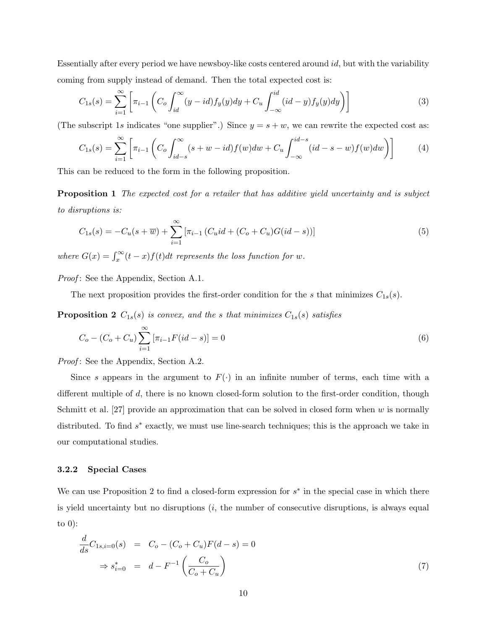Essentially after every period we have newsboy-like costs centered around id, but with the variability coming from supply instead of demand. Then the total expected cost is:

$$
C_{1s}(s) = \sum_{i=1}^{\infty} \left[ \pi_{i-1} \left( C_o \int_{id}^{\infty} (y - id) f_y(y) dy + C_u \int_{-\infty}^{id} (id - y) f_y(y) dy \right) \right]
$$
(3)

(The subscript 1s indicates "one supplier".) Since  $y = s + w$ , we can rewrite the expected cost as:

$$
C_{1s}(s) = \sum_{i=1}^{\infty} \left[ \pi_{i-1} \left( C_o \int_{id-s}^{\infty} (s+w-id) f(w) dw + C_u \int_{-\infty}^{id-s} (id-s-w) f(w) dw \right) \right]
$$
(4)

This can be reduced to the form in the following proposition.

Proposition 1 The expected cost for a retailer that has additive yield uncertainty and is subject to disruptions is:

$$
C_{1s}(s) = -C_u(s+\overline{w}) + \sum_{i=1}^{\infty} \left[ \pi_{i-1} \left( C_u i d + (C_o + C_u) G(id - s) \right) \right]
$$
(5)

where  $G(x) = \int_x^{\infty} (t-x) f(t) dt$  represents the loss function for w.

Proof: See the Appendix, Section A.1.

The next proposition provides the first-order condition for the s that minimizes  $C_{1s}(s)$ .

**Proposition 2**  $C_{1s}(s)$  is convex, and the s that minimizes  $C_{1s}(s)$  satisfies

$$
C_o - (C_o + C_u) \sum_{i=1}^{\infty} [\pi_{i-1} F(id - s)] = 0
$$
\n(6)

Proof: See the Appendix, Section A.2.

Since s appears in the argument to  $F(\cdot)$  in an infinite number of terms, each time with a different multiple of d, there is no known closed-form solution to the first-order condition, though Schmitt et al. [27] provide an approximation that can be solved in closed form when  $w$  is normally distributed. To find  $s^*$  exactly, we must use line-search techniques; this is the approach we take in our computational studies.

#### 3.2.2 Special Cases

We can use Proposition 2 to find a closed-form expression for  $s^*$  in the special case in which there is yield uncertainty but no disruptions  $(i,$  the number of consecutive disruptions, is always equal to  $0$ :

$$
\frac{d}{ds}C_{1s,i=0}(s) = C_o - (C_o + C_u)F(d - s) = 0
$$
  
\n
$$
\Rightarrow s_{i=0}^* = d - F^{-1}\left(\frac{C_o}{C_o + C_u}\right)
$$
\n(7)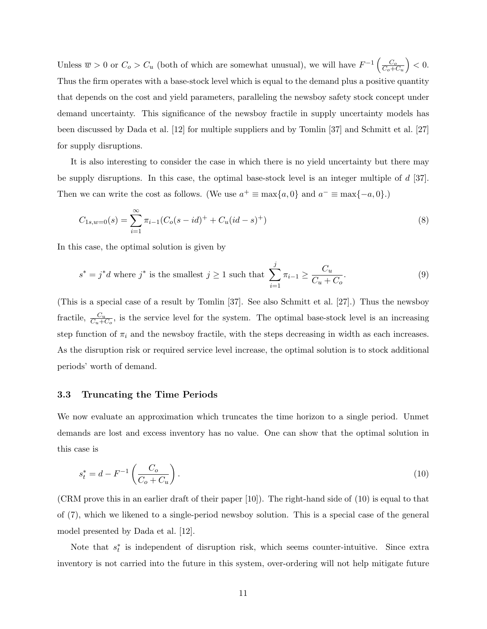Unless  $\overline{w} > 0$  or  $C_o > C_u$  (both of which are somewhat unusual), we will have  $F^{-1}\left(\frac{C_o}{C_o+1}\right)$  $\frac{C_o}{C_o+C_u}\Big) < 0.$ Thus the firm operates with a base-stock level which is equal to the demand plus a positive quantity that depends on the cost and yield parameters, paralleling the newsboy safety stock concept under demand uncertainty. This significance of the newsboy fractile in supply uncertainty models has been discussed by Dada et al. [12] for multiple suppliers and by Tomlin [37] and Schmitt et al. [27] for supply disruptions.

It is also interesting to consider the case in which there is no yield uncertainty but there may be supply disruptions. In this case, the optimal base-stock level is an integer multiple of d [37]. Then we can write the cost as follows. (We use  $a^+ \equiv \max\{a, 0\}$  and  $a^- \equiv \max\{-a, 0\}$ .)

$$
C_{1s,w=0}(s) = \sum_{i=1}^{\infty} \pi_{i-1} (C_o(s - id)^+ + C_u(id - s)^+) \tag{8}
$$

In this case, the optimal solution is given by

$$
s^* = j^*d \text{ where } j^* \text{ is the smallest } j \ge 1 \text{ such that } \sum_{i=1}^j \pi_{i-1} \ge \frac{C_u}{C_u + C_o}. \tag{9}
$$

(This is a special case of a result by Tomlin [37]. See also Schmitt et al. [27].) Thus the newsboy fractile,  $\frac{C_u}{C_u+C_o}$ , is the service level for the system. The optimal base-stock level is an increasing step function of  $\pi_i$  and the newsboy fractile, with the steps decreasing in width as each increases. As the disruption risk or required service level increase, the optimal solution is to stock additional periods' worth of demand.

#### 3.3 Truncating the Time Periods

We now evaluate an approximation which truncates the time horizon to a single period. Unmet demands are lost and excess inventory has no value. One can show that the optimal solution in this case is

$$
s_t^* = d - F^{-1} \left( \frac{C_o}{C_o + C_u} \right). \tag{10}
$$

(CRM prove this in an earlier draft of their paper [10]). The right-hand side of (10) is equal to that of (7), which we likened to a single-period newsboy solution. This is a special case of the general model presented by Dada et al. [12].

Note that  $s_t^*$  is independent of disruption risk, which seems counter-intuitive. Since extra inventory is not carried into the future in this system, over-ordering will not help mitigate future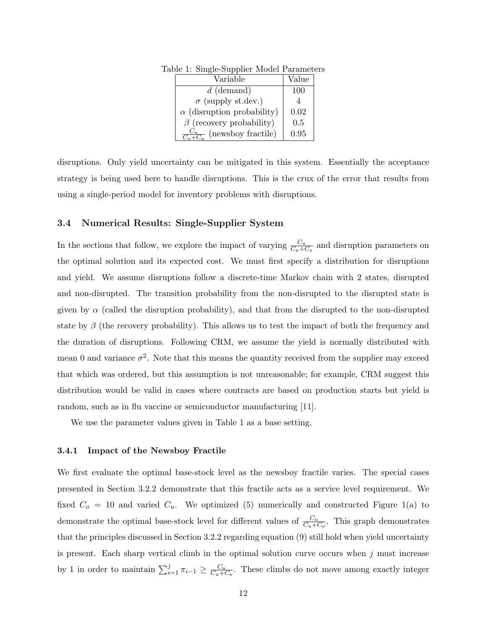| Variable                                 | Value |
|------------------------------------------|-------|
| $d$ (demand)                             | 100   |
| $\sigma$ (supply st.dev.)                |       |
| $\alpha$ (disruption probability)        | 0.02  |
| $\beta$ (recovery probability)           | 0.5   |
| $\frac{C_u}{C_c+C_u}$ (newsboy fractile) | 0.95  |

Table 1: Single-Supplier Model Parameters

disruptions. Only yield uncertainty can be mitigated in this system. Essentially the acceptance strategy is being used here to handle disruptions. This is the crux of the error that results from using a single-period model for inventory problems with disruptions.

#### 3.4 Numerical Results: Single-Supplier System

In the sections that follow, we explore the impact of varying  $\frac{C_u}{C_u+C_o}$  and disruption parameters on the optimal solution and its expected cost. We must first specify a distribution for disruptions and yield. We assume disruptions follow a discrete-time Markov chain with 2 states, disrupted and non-disrupted. The transition probability from the non-disrupted to the disrupted state is given by  $\alpha$  (called the disruption probability), and that from the disrupted to the non-disrupted state by  $\beta$  (the recovery probability). This allows us to test the impact of both the frequency and the duration of disruptions. Following CRM, we assume the yield is normally distributed with mean 0 and variance  $\sigma^2$ . Note that this means the quantity received from the supplier may exceed that which was ordered, but this assumption is not unreasonable; for example, CRM suggest this distribution would be valid in cases where contracts are based on production starts but yield is random, such as in flu vaccine or semiconductor manufacturing [11].

We use the parameter values given in Table 1 as a base setting.

#### 3.4.1 Impact of the Newsboy Fractile

We first evaluate the optimal base-stock level as the newsboy fractile varies. The special cases presented in Section 3.2.2 demonstrate that this fractile acts as a service level requirement. We fixed  $C_o = 10$  and varied  $C_u$ . We optimized (5) numerically and constructed Figure 1(a) to demonstrate the optimal base-stock level for different values of  $\frac{C_u}{C_u+C_o}$ . This graph demonstrates that the principles discussed in Section 3.2.2 regarding equation (9) still hold when yield uncertainty is present. Each sharp vertical climb in the optimal solution curve occurs when  $j$  must increase by 1 in order to maintain  $\sum_{i=1}^{j} \pi_{i-1} \geq \frac{C_u}{C_u + 1}$  $\frac{C_u}{C_u+C_o}$ . These climbs do not move among exactly integer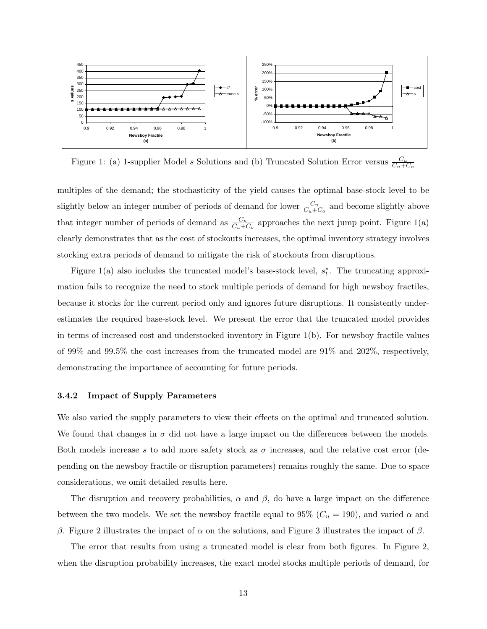

Figure 1: (a) 1-supplier Model s Solutions and (b) Truncated Solution Error versus  $\frac{C_u}{C_u+C_o}$ 

multiples of the demand; the stochasticity of the yield causes the optimal base-stock level to be slightly below an integer number of periods of demand for lower  $\frac{C_u}{C_u+C_o}$  and become slightly above that integer number of periods of demand as  $\frac{C_u}{C_u+C_o}$  approaches the next jump point. Figure 1(a) clearly demonstrates that as the cost of stockouts increases, the optimal inventory strategy involves stocking extra periods of demand to mitigate the risk of stockouts from disruptions.

Figure 1(a) also includes the truncated model's base-stock level,  $s_t^*$ . The truncating approximation fails to recognize the need to stock multiple periods of demand for high newsboy fractiles, because it stocks for the current period only and ignores future disruptions. It consistently underestimates the required base-stock level. We present the error that the truncated model provides in terms of increased cost and understocked inventory in Figure 1(b). For newsboy fractile values of 99% and 99.5% the cost increases from the truncated model are 91% and 202%, respectively, demonstrating the importance of accounting for future periods.

#### 3.4.2 Impact of Supply Parameters

We also varied the supply parameters to view their effects on the optimal and truncated solution. We found that changes in  $\sigma$  did not have a large impact on the differences between the models. Both models increase s to add more safety stock as  $\sigma$  increases, and the relative cost error (depending on the newsboy fractile or disruption parameters) remains roughly the same. Due to space considerations, we omit detailed results here.

The disruption and recovery probabilities,  $\alpha$  and  $\beta$ , do have a large impact on the difference between the two models. We set the newsboy fractile equal to 95% ( $C_u = 190$ ), and varied  $\alpha$  and β. Figure 2 illustrates the impact of  $\alpha$  on the solutions, and Figure 3 illustrates the impact of β.

The error that results from using a truncated model is clear from both figures. In Figure 2, when the disruption probability increases, the exact model stocks multiple periods of demand, for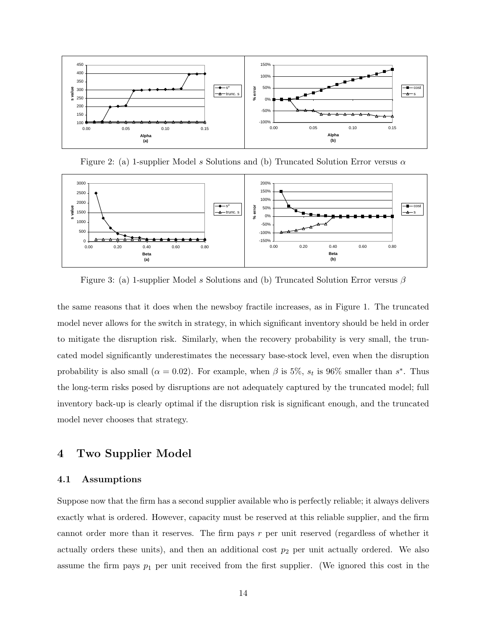

Figure 2: (a) 1-supplier Model s Solutions and (b) Truncated Solution Error versus  $\alpha$ 



Figure 3: (a) 1-supplier Model s Solutions and (b) Truncated Solution Error versus  $\beta$ 

the same reasons that it does when the newsboy fractile increases, as in Figure 1. The truncated model never allows for the switch in strategy, in which significant inventory should be held in order to mitigate the disruption risk. Similarly, when the recovery probability is very small, the truncated model significantly underestimates the necessary base-stock level, even when the disruption probability is also small ( $\alpha = 0.02$ ). For example, when  $\beta$  is 5%,  $s_t$  is 96% smaller than  $s^*$ . Thus the long-term risks posed by disruptions are not adequately captured by the truncated model; full inventory back-up is clearly optimal if the disruption risk is significant enough, and the truncated model never chooses that strategy.

## 4 Two Supplier Model

#### 4.1 Assumptions

Suppose now that the firm has a second supplier available who is perfectly reliable; it always delivers exactly what is ordered. However, capacity must be reserved at this reliable supplier, and the firm cannot order more than it reserves. The firm pays r per unit reserved (regardless of whether it actually orders these units), and then an additional cost  $p_2$  per unit actually ordered. We also assume the firm pays  $p_1$  per unit received from the first supplier. (We ignored this cost in the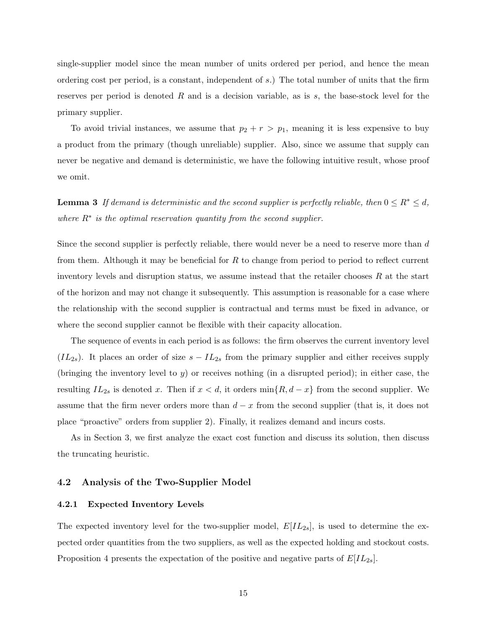single-supplier model since the mean number of units ordered per period, and hence the mean ordering cost per period, is a constant, independent of s.) The total number of units that the firm reserves per period is denoted  $R$  and is a decision variable, as is  $s$ , the base-stock level for the primary supplier.

To avoid trivial instances, we assume that  $p_2 + r > p_1$ , meaning it is less expensive to buy a product from the primary (though unreliable) supplier. Also, since we assume that supply can never be negative and demand is deterministic, we have the following intuitive result, whose proof we omit.

**Lemma 3** If demand is deterministic and the second supplier is perfectly reliable, then  $0 \leq R^* \leq d$ , where  $R^*$  is the optimal reservation quantity from the second supplier.

Since the second supplier is perfectly reliable, there would never be a need to reserve more than d from them. Although it may be beneficial for  $R$  to change from period to period to reflect current inventory levels and disruption status, we assume instead that the retailer chooses  $R$  at the start of the horizon and may not change it subsequently. This assumption is reasonable for a case where the relationship with the second supplier is contractual and terms must be fixed in advance, or where the second supplier cannot be flexible with their capacity allocation.

The sequence of events in each period is as follows: the firm observes the current inventory level  $(IL_{2s})$ . It places an order of size  $s - IL_{2s}$  from the primary supplier and either receives supply (bringing the inventory level to  $y$ ) or receives nothing (in a disrupted period); in either case, the resulting  $IL_{2s}$  is denoted x. Then if  $x < d$ , it orders  $\min\{R, d - x\}$  from the second supplier. We assume that the firm never orders more than  $d - x$  from the second supplier (that is, it does not place "proactive" orders from supplier 2). Finally, it realizes demand and incurs costs.

As in Section 3, we first analyze the exact cost function and discuss its solution, then discuss the truncating heuristic.

#### 4.2 Analysis of the Two-Supplier Model

#### 4.2.1 Expected Inventory Levels

The expected inventory level for the two-supplier model,  $E|IL_{2s}|$ , is used to determine the expected order quantities from the two suppliers, as well as the expected holding and stockout costs. Proposition 4 presents the expectation of the positive and negative parts of  $E[I_{2s}]$ .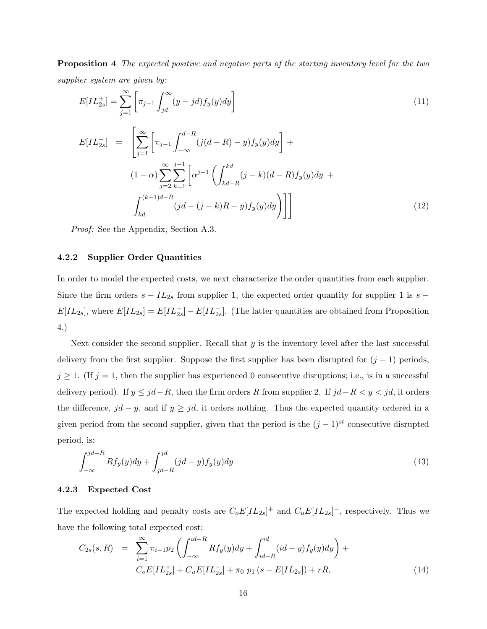Proposition 4 The expected positive and negative parts of the starting inventory level for the two supplier system are given by:

$$
E[IL_{2s}^{+}] = \sum_{j=1}^{\infty} \left[ \pi_{j-1} \int_{jd}^{\infty} (y - jd) f_y(y) dy \right]
$$
\n
$$
E[IL_{2s}^{-}] = \left[ \sum_{j=1}^{\infty} \left[ \pi_{j-1} \int_{-\infty}^{d-R} (j(d - R) - y) f_y(y) dy \right] +
$$
\n
$$
(1 - \alpha) \sum_{j=2}^{\infty} \sum_{k=1}^{j-1} \left[ \alpha^{j-1} \left( \int_{kd-R}^{kd} (j - k)(d - R) f_y(y) dy \right) +
$$
\n
$$
\int_{kd}^{(k+1)d - R} (jd - (j - k)R - y) f_y(y) dy \right) \right]
$$
\n(12)

Proof: See the Appendix, Section A.3.

#### 4.2.2 Supplier Order Quantities

In order to model the expected costs, we next characterize the order quantities from each supplier. Since the firm orders  $s - IL_{2s}$  from supplier 1, the expected order quantity for supplier 1 is  $s E[IL_{2s}]$ , where  $E[IL_{2s}] = E[IL_{2s}^+] - E[IL_{2s}^-]$ . (The latter quantities are obtained from Proposition 4.)

Next consider the second supplier. Recall that  $y$  is the inventory level after the last successful delivery from the first supplier. Suppose the first supplier has been disrupted for  $(j - 1)$  periods,  $j \geq 1$ . (If  $j = 1$ , then the supplier has experienced 0 consecutive disruptions; i.e., is in a successful delivery period). If  $y \leq jd-R$ , then the firm orders R from supplier 2. If  $jd-R < y < jd$ , it orders the difference,  $jd - y$ , and if  $y \geq jd$ , it orders nothing. Thus the expected quantity ordered in a given period from the second supplier, given that the period is the  $(j-1)^{st}$  consecutive disrupted period, is:

$$
\int_{-\infty}^{jd-R} Rf_y(y)dy + \int_{jd-R}^{jd} (jd-y)f_y(y)dy\tag{13}
$$

#### 4.2.3 Expected Cost

The expected holding and penalty costs are  $C_0E[IL_{2s}]^+$  and  $C_uE[IL_{2s}]^-$ , respectively. Thus we have the following total expected cost:

$$
C_{2s}(s,R) = \sum_{i=1}^{\infty} \pi_{i-1}p_2 \left( \int_{-\infty}^{id-R} Rf_y(y)dy + \int_{id-R}^{id} (id-y)f_y(y)dy \right) +
$$
  
\n
$$
C_oE[IL_{2s}^+] + C_uE[IL_{2s}^-] + \pi_0 p_1 (s - E[IL_{2s}]) + rR,
$$
\n(14)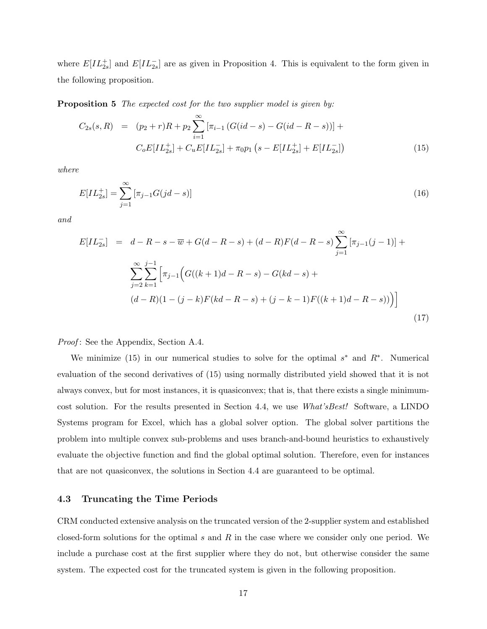where  $E[IL_{2s}^+]$  and  $E[IL_{2s}^-]$  are as given in Proposition 4. This is equivalent to the form given in the following proposition.

**Proposition 5** The expected cost for the two supplier model is given by:

$$
C_{2s}(s,R) = (p_2 + r)R + p_2 \sum_{i=1}^{\infty} \left[ \pi_{i-1} \left( G(id - s) - G(id - R - s) \right) \right] +
$$
  

$$
C_o E[I L_{2s}^+] + C_u E[I L_{2s}^-] + \pi_0 p_1 \left( s - E[I L_{2s}^+] + E[I L_{2s}^-] \right)
$$
 (15)

where

$$
E[IL_{2s}^{+}] = \sum_{j=1}^{\infty} \left[ \pi_{j-1} G(jd - s) \right]
$$
\n(16)

and

$$
E[IL_{2s}^-] = d - R - s - \overline{w} + G(d - R - s) + (d - R)F(d - R - s) \sum_{j=1}^{\infty} [\pi_{j-1}(j-1)] +
$$
  

$$
\sum_{j=2}^{\infty} \sum_{k=1}^{j-1} [\pi_{j-1}(G((k+1)d - R - s) - G(kd - s) +
$$
  

$$
(d - R)(1 - (j - k)F(kd - R - s) + (j - k - 1)F((k+1)d - R - s)))]
$$
\n(17)

#### *Proof:* See the Appendix, Section A.4.

We minimize (15) in our numerical studies to solve for the optimal  $s^*$  and  $R^*$ . Numerical evaluation of the second derivatives of (15) using normally distributed yield showed that it is not always convex, but for most instances, it is quasiconvex; that is, that there exists a single minimumcost solution. For the results presented in Section 4.4, we use What'sBest! Software, a LINDO Systems program for Excel, which has a global solver option. The global solver partitions the problem into multiple convex sub-problems and uses branch-and-bound heuristics to exhaustively evaluate the objective function and find the global optimal solution. Therefore, even for instances that are not quasiconvex, the solutions in Section 4.4 are guaranteed to be optimal.

#### 4.3 Truncating the Time Periods

CRM conducted extensive analysis on the truncated version of the 2-supplier system and established closed-form solutions for the optimal s and  $R$  in the case where we consider only one period. We include a purchase cost at the first supplier where they do not, but otherwise consider the same system. The expected cost for the truncated system is given in the following proposition.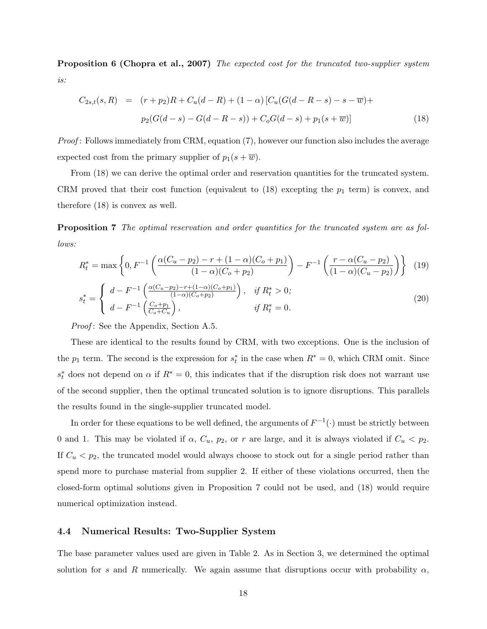**Proposition 6 (Chopra et al., 2007)** The expected cost for the truncated two-supplier system is:

$$
C_{2s,t}(s,R) = (r+p_2)R + C_u(d-R) + (1-\alpha)[C_u(G(d-R-s)-s-\overline{w}) +
$$
  

$$
p_2(G(d-s)-G(d-R-s)) + C_oG(d-s) + p_1(s+\overline{w})]
$$
 (18)

Proof: Follows immediately from CRM, equation (7), however our function also includes the average expected cost from the primary supplier of  $p_1(s + \overline{w})$ .

From (18) we can derive the optimal order and reservation quantities for the truncated system. CRM proved that their cost function (equivalent to  $(18)$  excepting the  $p_1$  term) is convex, and therefore (18) is convex as well.

**Proposition 7** The optimal reservation and order quantities for the truncated system are as follows:

$$
R_t^* = \max\left\{0, F^{-1}\left(\frac{\alpha(C_u - p_2) - r + (1 - \alpha)(C_o + p_1)}{(1 - \alpha)(C_o + p_2)}\right) - F^{-1}\left(\frac{r - \alpha(C_u - p_2)}{(1 - \alpha)(C_u - p_2)}\right)\right\}
$$
(19)  

$$
s_t^* = \begin{cases} d - F^{-1}\left(\frac{\alpha(C_u - p_2) - r + (1 - \alpha)(C_o + p_1)}{(1 - \alpha)(C_o + p_2)}\right), & \text{if } R_t^* > 0; \\ d - F^{-1}\left(\frac{C_o + p_1}{C_o + C_u}\right), & \text{if } R_t^* = 0. \end{cases}
$$
(20)

Proof: See the Appendix, Section A.5.

These are identical to the results found by CRM, with two exceptions. One is the inclusion of the  $p_1$  term. The second is the expression for  $s_t^*$  in the case when  $R^* = 0$ , which CRM omit. Since  $s_t^*$  does not depend on  $\alpha$  if  $R^* = 0$ , this indicates that if the disruption risk does not warrant use of the second supplier, then the optimal truncated solution is to ignore disruptions. This parallels the results found in the single-supplier truncated model.

In order for these equations to be well defined, the arguments of  $F^{-1}(\cdot)$  must be strictly between 0 and 1. This may be violated if  $\alpha$ ,  $C_u$ ,  $p_2$ , or r are large, and it is always violated if  $C_u < p_2$ . If  $C_u$   $\lt$   $p_2$ , the truncated model would always choose to stock out for a single period rather than spend more to purchase material from supplier 2. If either of these violations occurred, then the closed-form optimal solutions given in Proposition 7 could not be used, and (18) would require numerical optimization instead.

#### 4.4 Numerical Results: Two-Supplier System

The base parameter values used are given in Table 2. As in Section 3, we determined the optimal solution for s and R numerically. We again assume that disruptions occur with probability  $\alpha$ ,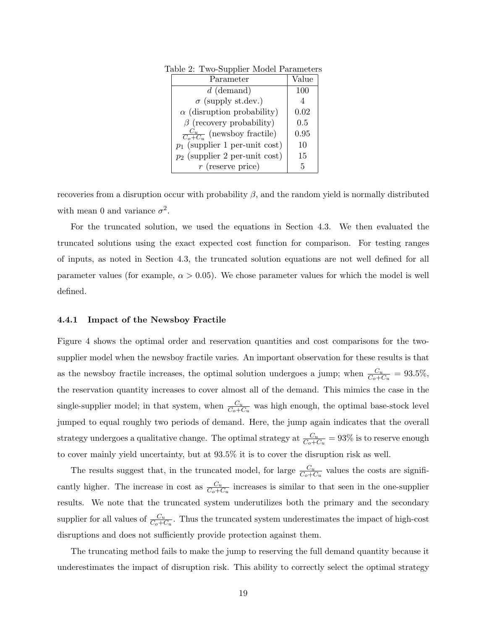| Parameter                                  | Value |
|--------------------------------------------|-------|
| $d$ (demand)                               | 100   |
| $\sigma$ (supply st.dev.)                  | 4     |
| $\alpha$ (disruption probability)          | 0.02  |
| $\beta$ (recovery probability)             | 0.5   |
| $\frac{C_u}{C_o + C_u}$ (newsboy fractile) | 0.95  |
| $p_1$ (supplier 1 per-unit cost)           | 10    |
| $p_2$ (supplier 2 per-unit cost)           | 15    |
| $r$ (reserve price)                        | 5     |

Table 2: Two-Supplier Model Parameters

recoveries from a disruption occur with probability  $\beta$ , and the random yield is normally distributed with mean 0 and variance  $\sigma^2$ .

For the truncated solution, we used the equations in Section 4.3. We then evaluated the truncated solutions using the exact expected cost function for comparison. For testing ranges of inputs, as noted in Section 4.3, the truncated solution equations are not well defined for all parameter values (for example,  $\alpha > 0.05$ ). We chose parameter values for which the model is well defined.

#### 4.4.1 Impact of the Newsboy Fractile

Figure 4 shows the optimal order and reservation quantities and cost comparisons for the twosupplier model when the newsboy fractile varies. An important observation for these results is that as the newsboy fractile increases, the optimal solution undergoes a jump; when  $\frac{C_u}{C_o + C_u} = 93.5\%,$ the reservation quantity increases to cover almost all of the demand. This mimics the case in the single-supplier model; in that system, when  $\frac{C_u}{C_o + C_u}$  was high enough, the optimal base-stock level jumped to equal roughly two periods of demand. Here, the jump again indicates that the overall strategy undergoes a qualitative change. The optimal strategy at  $\frac{C_u}{C_o + C_u} = 93\%$  is to reserve enough to cover mainly yield uncertainty, but at 93.5% it is to cover the disruption risk as well.

The results suggest that, in the truncated model, for large  $\frac{C_u}{C_o + C_u}$  values the costs are significantly higher. The increase in cost as  $\frac{C_u}{C_o + C_u}$  increases is similar to that seen in the one-supplier results. We note that the truncated system underutilizes both the primary and the secondary supplier for all values of  $\frac{C_u}{C_o + C_u}$ . Thus the truncated system underestimates the impact of high-cost disruptions and does not sufficiently provide protection against them.

The truncating method fails to make the jump to reserving the full demand quantity because it underestimates the impact of disruption risk. This ability to correctly select the optimal strategy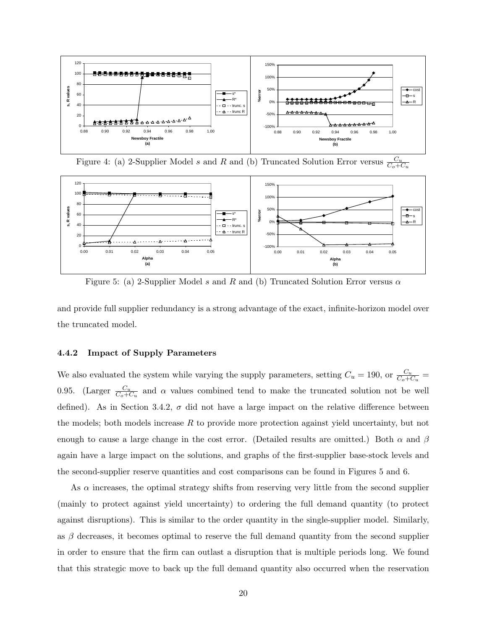

Figure 4: (a) 2-Supplier Model s and R and (b) Truncated Solution Error versus  $\frac{C_u}{C_{u}}$  $\overline{C_o + C_u}$ 



Figure 5: (a) 2-Supplier Model s and R and (b) Truncated Solution Error versus  $\alpha$ 

and provide full supplier redundancy is a strong advantage of the exact, infinite-horizon model over the truncated model.

#### 4.4.2 Impact of Supply Parameters

We also evaluated the system while varying the supply parameters, setting  $C_u = 190$ , or  $\frac{C_u}{C_o + C_u} =$ 0.95. (Larger  $\frac{C_u}{C_o + C_u}$  and  $\alpha$  values combined tend to make the truncated solution not be well defined). As in Section 3.4.2,  $\sigma$  did not have a large impact on the relative difference between the models; both models increase  $R$  to provide more protection against yield uncertainty, but not enough to cause a large change in the cost error. (Detailed results are omitted.) Both  $\alpha$  and  $\beta$ again have a large impact on the solutions, and graphs of the first-supplier base-stock levels and the second-supplier reserve quantities and cost comparisons can be found in Figures 5 and 6.

As  $\alpha$  increases, the optimal strategy shifts from reserving very little from the second supplier (mainly to protect against yield uncertainty) to ordering the full demand quantity (to protect against disruptions). This is similar to the order quantity in the single-supplier model. Similarly, as  $\beta$  decreases, it becomes optimal to reserve the full demand quantity from the second supplier in order to ensure that the firm can outlast a disruption that is multiple periods long. We found that this strategic move to back up the full demand quantity also occurred when the reservation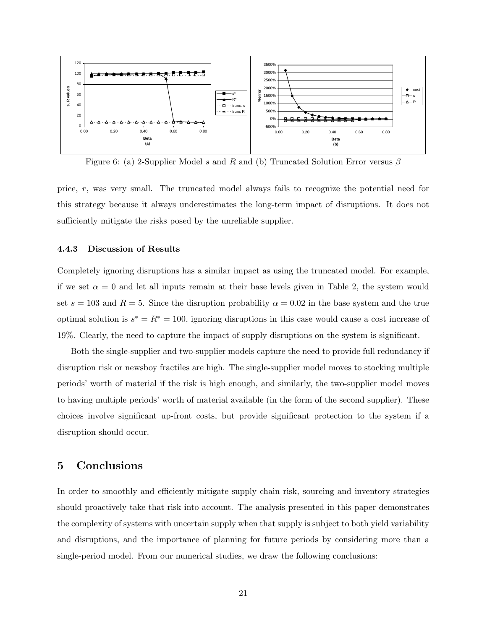

Figure 6: (a) 2-Supplier Model s and R and (b) Truncated Solution Error versus  $\beta$ 

price, r, was very small. The truncated model always fails to recognize the potential need for this strategy because it always underestimates the long-term impact of disruptions. It does not sufficiently mitigate the risks posed by the unreliable supplier.

#### 4.4.3 Discussion of Results

Completely ignoring disruptions has a similar impact as using the truncated model. For example, if we set  $\alpha = 0$  and let all inputs remain at their base levels given in Table 2, the system would set  $s = 103$  and  $R = 5$ . Since the disruption probability  $\alpha = 0.02$  in the base system and the true optimal solution is  $s^* = R^* = 100$ , ignoring disruptions in this case would cause a cost increase of 19%. Clearly, the need to capture the impact of supply disruptions on the system is significant.

Both the single-supplier and two-supplier models capture the need to provide full redundancy if disruption risk or newsboy fractiles are high. The single-supplier model moves to stocking multiple periods' worth of material if the risk is high enough, and similarly, the two-supplier model moves to having multiple periods' worth of material available (in the form of the second supplier). These choices involve significant up-front costs, but provide significant protection to the system if a disruption should occur.

## 5 Conclusions

In order to smoothly and efficiently mitigate supply chain risk, sourcing and inventory strategies should proactively take that risk into account. The analysis presented in this paper demonstrates the complexity of systems with uncertain supply when that supply is subject to both yield variability and disruptions, and the importance of planning for future periods by considering more than a single-period model. From our numerical studies, we draw the following conclusions: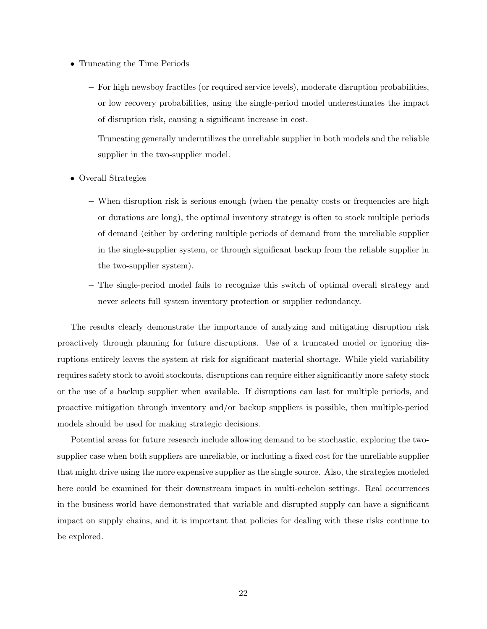- Truncating the Time Periods
	- For high newsboy fractiles (or required service levels), moderate disruption probabilities, or low recovery probabilities, using the single-period model underestimates the impact of disruption risk, causing a significant increase in cost.
	- Truncating generally underutilizes the unreliable supplier in both models and the reliable supplier in the two-supplier model.
- Overall Strategies
	- When disruption risk is serious enough (when the penalty costs or frequencies are high or durations are long), the optimal inventory strategy is often to stock multiple periods of demand (either by ordering multiple periods of demand from the unreliable supplier in the single-supplier system, or through significant backup from the reliable supplier in the two-supplier system).
	- The single-period model fails to recognize this switch of optimal overall strategy and never selects full system inventory protection or supplier redundancy.

The results clearly demonstrate the importance of analyzing and mitigating disruption risk proactively through planning for future disruptions. Use of a truncated model or ignoring disruptions entirely leaves the system at risk for significant material shortage. While yield variability requires safety stock to avoid stockouts, disruptions can require either significantly more safety stock or the use of a backup supplier when available. If disruptions can last for multiple periods, and proactive mitigation through inventory and/or backup suppliers is possible, then multiple-period models should be used for making strategic decisions.

Potential areas for future research include allowing demand to be stochastic, exploring the twosupplier case when both suppliers are unreliable, or including a fixed cost for the unreliable supplier that might drive using the more expensive supplier as the single source. Also, the strategies modeled here could be examined for their downstream impact in multi-echelon settings. Real occurrences in the business world have demonstrated that variable and disrupted supply can have a significant impact on supply chains, and it is important that policies for dealing with these risks continue to be explored.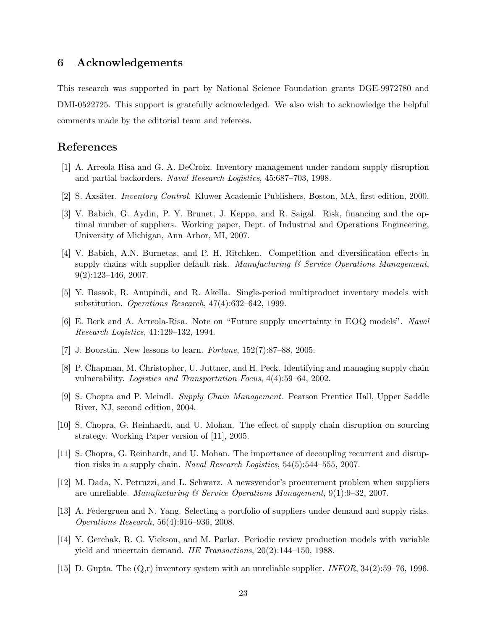## 6 Acknowledgements

This research was supported in part by National Science Foundation grants DGE-9972780 and DMI-0522725. This support is gratefully acknowledged. We also wish to acknowledge the helpful comments made by the editorial team and referees.

## References

- [1] A. Arreola-Risa and G. A. DeCroix. Inventory management under random supply disruption and partial backorders. Naval Research Logistics, 45:687–703, 1998.
- [2] S. Axsäter. *Inventory Control.* Kluwer Academic Publishers, Boston, MA, first edition, 2000.
- [3] V. Babich, G. Aydin, P. Y. Brunet, J. Keppo, and R. Saigal. Risk, financing and the optimal number of suppliers. Working paper, Dept. of Industrial and Operations Engineering, University of Michigan, Ann Arbor, MI, 2007.
- [4] V. Babich, A.N. Burnetas, and P. H. Ritchken. Competition and diversification effects in supply chains with supplier default risk. Manufacturing  $\mathscr B$  Service Operations Management,  $9(2):123-146, 2007.$
- [5] Y. Bassok, R. Anupindi, and R. Akella. Single-period multiproduct inventory models with substitution. Operations Research, 47(4):632–642, 1999.
- [6] E. Berk and A. Arreola-Risa. Note on "Future supply uncertainty in EOQ models". Naval Research Logistics, 41:129–132, 1994.
- [7] J. Boorstin. New lessons to learn. Fortune, 152(7):87–88, 2005.
- [8] P. Chapman, M. Christopher, U. Juttner, and H. Peck. Identifying and managing supply chain vulnerability. Logistics and Transportation Focus, 4(4):59–64, 2002.
- [9] S. Chopra and P. Meindl. Supply Chain Management. Pearson Prentice Hall, Upper Saddle River, NJ, second edition, 2004.
- [10] S. Chopra, G. Reinhardt, and U. Mohan. The effect of supply chain disruption on sourcing strategy. Working Paper version of [11], 2005.
- [11] S. Chopra, G. Reinhardt, and U. Mohan. The importance of decoupling recurrent and disruption risks in a supply chain. Naval Research Logistics, 54(5):544–555, 2007.
- [12] M. Dada, N. Petruzzi, and L. Schwarz. A newsvendor's procurement problem when suppliers are unreliable. Manufacturing & Service Operations Management, 9(1):9–32, 2007.
- [13] A. Federgruen and N. Yang. Selecting a portfolio of suppliers under demand and supply risks. Operations Research, 56(4):916–936, 2008.
- [14] Y. Gerchak, R. G. Vickson, and M. Parlar. Periodic review production models with variable yield and uncertain demand. IIE Transactions, 20(2):144–150, 1988.
- [15] D. Gupta. The  $(Q,r)$  inventory system with an unreliable supplier. *INFOR*,  $34(2):59-76$ , 1996.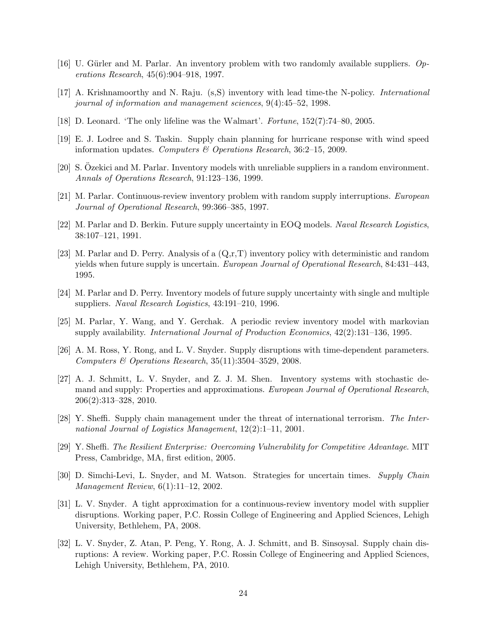- [16] U. Gürler and M. Parlar. An inventory problem with two randomly available suppliers.  $Op$ erations Research, 45(6):904–918, 1997.
- [17] A. Krishnamoorthy and N. Raju. (s,S) inventory with lead time-the N-policy. International journal of information and management sciences, 9(4):45–52, 1998.
- [18] D. Leonard. 'The only lifeline was the Walmart'. Fortune, 152(7):74–80, 2005.
- [19] E. J. Lodree and S. Taskin. Supply chain planning for hurricane response with wind speed information updates. Computers & Operations Research, 36:2–15, 2009.
- [20] S. Ozekici and M. Parlar. Inventory models with unreliable suppliers in a random environment. Annals of Operations Research, 91:123–136, 1999.
- [21] M. Parlar. Continuous-review inventory problem with random supply interruptions. European Journal of Operational Research, 99:366–385, 1997.
- [22] M. Parlar and D. Berkin. Future supply uncertainty in EOQ models. Naval Research Logistics, 38:107–121, 1991.
- [23] M. Parlar and D. Perry. Analysis of a (Q,r,T) inventory policy with deterministic and random yields when future supply is uncertain. European Journal of Operational Research, 84:431–443, 1995.
- [24] M. Parlar and D. Perry. Inventory models of future supply uncertainty with single and multiple suppliers. Naval Research Logistics, 43:191–210, 1996.
- [25] M. Parlar, Y. Wang, and Y. Gerchak. A periodic review inventory model with markovian supply availability. International Journal of Production Economics, 42(2):131–136, 1995.
- [26] A. M. Ross, Y. Rong, and L. V. Snyder. Supply disruptions with time-dependent parameters. Computers & Operations Research, 35(11):3504–3529, 2008.
- [27] A. J. Schmitt, L. V. Snyder, and Z. J. M. Shen. Inventory systems with stochastic demand and supply: Properties and approximations. European Journal of Operational Research, 206(2):313–328, 2010.
- [28] Y. Sheffi. Supply chain management under the threat of international terrorism. The International Journal of Logistics Management, 12(2):1–11, 2001.
- [29] Y. Sheffi. The Resilient Enterprise: Overcoming Vulnerability for Competitive Advantage. MIT Press, Cambridge, MA, first edition, 2005.
- [30] D. Simchi-Levi, L. Snyder, and M. Watson. Strategies for uncertain times. Supply Chain Management Review, 6(1):11–12, 2002.
- [31] L. V. Snyder. A tight approximation for a continuous-review inventory model with supplier disruptions. Working paper, P.C. Rossin College of Engineering and Applied Sciences, Lehigh University, Bethlehem, PA, 2008.
- [32] L. V. Snyder, Z. Atan, P. Peng, Y. Rong, A. J. Schmitt, and B. Sinsoysal. Supply chain disruptions: A review. Working paper, P.C. Rossin College of Engineering and Applied Sciences, Lehigh University, Bethlehem, PA, 2010.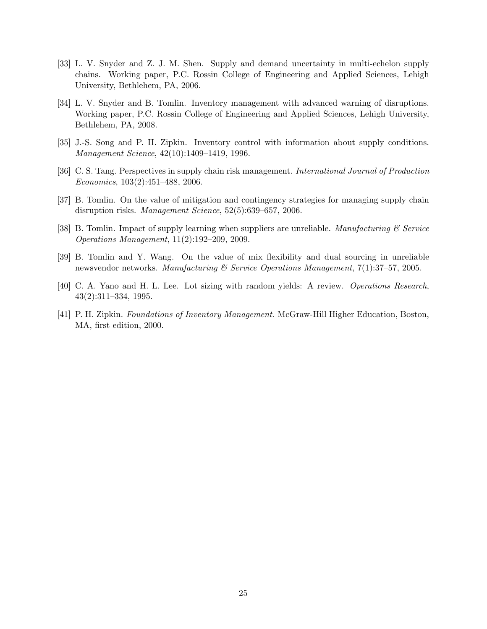- [33] L. V. Snyder and Z. J. M. Shen. Supply and demand uncertainty in multi-echelon supply chains. Working paper, P.C. Rossin College of Engineering and Applied Sciences, Lehigh University, Bethlehem, PA, 2006.
- [34] L. V. Snyder and B. Tomlin. Inventory management with advanced warning of disruptions. Working paper, P.C. Rossin College of Engineering and Applied Sciences, Lehigh University, Bethlehem, PA, 2008.
- [35] J.-S. Song and P. H. Zipkin. Inventory control with information about supply conditions. Management Science, 42(10):1409–1419, 1996.
- [36] C. S. Tang. Perspectives in supply chain risk management. International Journal of Production Economics, 103(2):451–488, 2006.
- [37] B. Tomlin. On the value of mitigation and contingency strategies for managing supply chain disruption risks. Management Science, 52(5):639–657, 2006.
- [38] B. Tomlin. Impact of supply learning when suppliers are unreliable. Manufacturing & Service Operations Management, 11(2):192–209, 2009.
- [39] B. Tomlin and Y. Wang. On the value of mix flexibility and dual sourcing in unreliable newsvendor networks. Manufacturing & Service Operations Management, 7(1):37–57, 2005.
- [40] C. A. Yano and H. L. Lee. Lot sizing with random yields: A review. Operations Research, 43(2):311–334, 1995.
- [41] P. H. Zipkin. Foundations of Inventory Management. McGraw-Hill Higher Education, Boston, MA, first edition, 2000.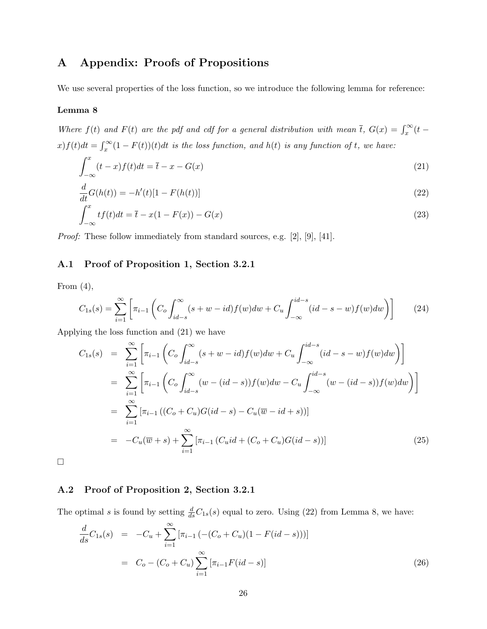## A Appendix: Proofs of Propositions

We use several properties of the loss function, so we introduce the following lemma for reference:

#### Lemma 8

Where  $f(t)$  and  $F(t)$  are the pdf and cdf for a general distribution with mean  $\bar{t}$ ,  $G(x) = \int_x^{\infty} (t$  $x) f(t) dt = \int_x^{\infty} (1 - F(t))(t) dt$  is the loss function, and  $h(t)$  is any function of t, we have:

$$
\int_{-\infty}^{x} (t-x)f(t)dt = \overline{t} - x - G(x)
$$
\n(21)

$$
\frac{d}{dt}G(h(t)) = -h'(t)[1 - F(h(t))]
$$
\n
$$
\int_{0}^{T} f(t)dt = \frac{1}{2}h(t) \int_{0}^{T} f(t)dt
$$
\n(22)

$$
\int_{-\infty}^{x} t f(t) dt = \bar{t} - x(1 - F(x)) - G(x)
$$
\n(23)

Proof: These follow immediately from standard sources, e.g. [2], [9], [41].

#### A.1 Proof of Proposition 1, Section 3.2.1

From  $(4)$ ,

$$
C_{1s}(s) = \sum_{i=1}^{\infty} \left[ \pi_{i-1} \left( C_o \int_{id-s}^{\infty} (s+w-id) f(w) dw + C_u \int_{-\infty}^{id-s} (id-s-w) f(w) dw \right) \right]
$$
(24)

Applying the loss function and (21) we have

$$
C_{1s}(s) = \sum_{i=1}^{\infty} \left[ \pi_{i-1} \left( C_o \int_{id-s}^{\infty} (s+w-id) f(w) dw + C_u \int_{-\infty}^{id-s} (id-s-w) f(w) dw \right) \right]
$$
  
\n
$$
= \sum_{i=1}^{\infty} \left[ \pi_{i-1} \left( C_o \int_{id-s}^{\infty} (w-(id-s)) f(w) dw - C_u \int_{-\infty}^{id-s} (w-(id-s)) f(w) dw \right) \right]
$$
  
\n
$$
= \sum_{i=1}^{\infty} \left[ \pi_{i-1} \left( (C_o + C_u) G(id-s) - C_u (\overline{w}-id+s) \right) \right]
$$
  
\n
$$
= -C_u (\overline{w} + s) + \sum_{i=1}^{\infty} \left[ \pi_{i-1} \left( C_u id + (C_o + C_u) G(id-s) \right) \right]
$$
(25)

 $\Box$ 

## A.2 Proof of Proposition 2, Section 3.2.1

The optimal s is found by setting  $\frac{d}{ds}C_{1s}(s)$  equal to zero. Using (22) from Lemma 8, we have:

$$
\frac{d}{ds}C_{1s}(s) = -C_u + \sum_{i=1}^{\infty} \left[ \pi_{i-1} \left( -(C_o + C_u)(1 - F(id - s)) \right) \right]
$$
\n
$$
= C_o - (C_o + C_u) \sum_{i=1}^{\infty} \left[ \pi_{i-1} F(id - s) \right] \tag{26}
$$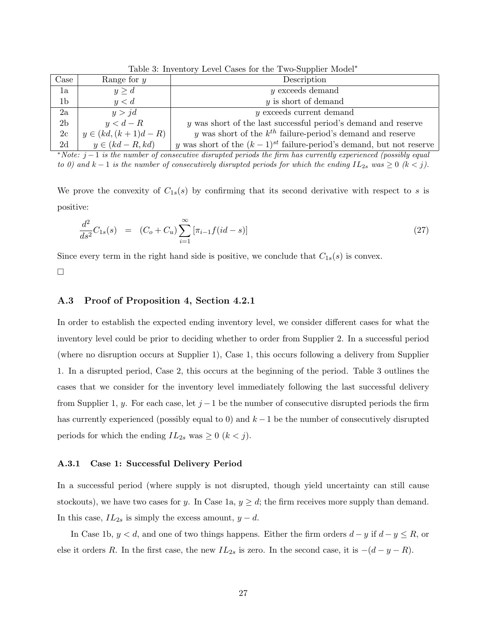| Table 0. HIVEHROLY LICYCL CASCS TOL THE 1 WO-DUPPHEL INDUCT |                          |                                                                          |  |
|-------------------------------------------------------------|--------------------------|--------------------------------------------------------------------------|--|
| Case                                                        | Range for $y$            | Description                                                              |  |
| 1a                                                          | $y \geq d$               | $y$ exceeds demand                                                       |  |
| 1 <sub>b</sub>                                              | y < d                    | $y$ is short of demand                                                   |  |
| 2a                                                          | y > jd                   | $y$ exceeds current demand                                               |  |
| 2 <sub>b</sub>                                              | $y < d - R$              | $y$ was short of the last successful period's demand and reserve         |  |
| 2c                                                          | $y \in (kd, (k+1)d - R)$ | y was short of the $k^{th}$ failure-period's demand and reserve          |  |
| 2d                                                          | $y \in (kd - R, kd)$     | y was short of the $(k-1)^{st}$ failure-period's demand, but not reserve |  |

Table 3: Inventory Level Cases for the Two-Supplier Model<sup>∗</sup>

 $*$ Note:  $j-1$  is the number of consecutive disrupted periods the firm has currently experienced (possibly equal to 0) and  $k-1$  is the number of consecutively disrupted periods for which the ending  $IL_{2s}$  was  $\geq 0$  ( $k < j$ ).

We prove the convexity of  $C_{1s}(s)$  by confirming that its second derivative with respect to s is positive:

$$
\frac{d^2}{ds^2}C_{1s}(s) = (C_o + C_u) \sum_{i=1}^{\infty} [\pi_{i-1}f(id-s)] \tag{27}
$$

Since every term in the right hand side is positive, we conclude that  $C_{1s}(s)$  is convex.

 $\Box$ 

### A.3 Proof of Proposition 4, Section 4.2.1

In order to establish the expected ending inventory level, we consider different cases for what the inventory level could be prior to deciding whether to order from Supplier 2. In a successful period (where no disruption occurs at Supplier 1), Case 1, this occurs following a delivery from Supplier 1. In a disrupted period, Case 2, this occurs at the beginning of the period. Table 3 outlines the cases that we consider for the inventory level immediately following the last successful delivery from Supplier 1, y. For each case, let  $j-1$  be the number of consecutive disrupted periods the firm has currently experienced (possibly equal to 0) and  $k-1$  be the number of consecutively disrupted periods for which the ending  $IL_{2s}$  was  $\geq 0$   $(k < j)$ .

#### A.3.1 Case 1: Successful Delivery Period

In a successful period (where supply is not disrupted, though yield uncertainty can still cause stockouts), we have two cases for y. In Case 1a,  $y \geq d$ ; the firm receives more supply than demand. In this case,  $IL_{2s}$  is simply the excess amount,  $y - d$ .

In Case 1b,  $y < d$ , and one of two things happens. Either the firm orders  $d - y$  if  $d - y \le R$ , or else it orders R. In the first case, the new  $IL_{2s}$  is zero. In the second case, it is  $-(d - y - R)$ .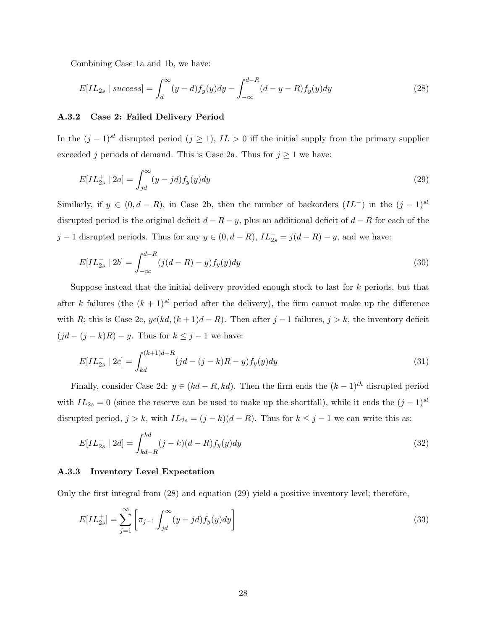Combining Case 1a and 1b, we have:

$$
E[IL_{2s} \mid success] = \int_{d}^{\infty} (y-d)f_y(y)dy - \int_{-\infty}^{d-R} (d-y-R)f_y(y)dy \qquad (28)
$$

#### A.3.2 Case 2: Failed Delivery Period

In the  $(j-1)^{st}$  disrupted period  $(j \geq 1)$ ,  $IL > 0$  iff the initial supply from the primary supplier exceeded j periods of demand. This is Case 2a. Thus for  $j \geq 1$  we have:

$$
E[IL_{2s}^{+} | 2a] = \int_{jd}^{\infty} (y - jd) f_y(y) dy
$$
\n(29)

Similarly, if  $y \in (0, d - R)$ , in Case 2b, then the number of backorders  $(IL^-)$  in the  $(j - 1)^{st}$ disrupted period is the original deficit  $d - R - y$ , plus an additional deficit of  $d - R$  for each of the  $j-1$  disrupted periods. Thus for any  $y \in (0, d - R)$ ,  $IL_{2s}^- = j(d - R) - y$ , and we have:

$$
E[IL_{2s}^{-} \mid 2b] = \int_{-\infty}^{d-R} (j(d-R) - y) f_y(y) dy
$$
\n(30)

Suppose instead that the initial delivery provided enough stock to last for k periods, but that after k failures (the  $(k + 1)^{st}$  period after the delivery), the firm cannot make up the difference with R; this is Case 2c,  $y\epsilon(kd, (k+1)d - R)$ . Then after j – 1 failures, j > k, the inventory deficit  $(jd - (j - k)R) - y$ . Thus for  $k \leq j - 1$  we have:

$$
E[IL_{2s}^{-} | 2c] = \int_{kd}^{(k+1)d - R} (jd - (j - k)R - y)f_{y}(y)dy
$$
\n(31)

Finally, consider Case 2d:  $y \in (kd - R, kd)$ . Then the firm ends the  $(k - 1)<sup>th</sup>$  disrupted period with  $IL_{2s} = 0$  (since the reserve can be used to make up the shortfall), while it ends the  $(j-1)^{st}$ disrupted period,  $j > k$ , with  $IL_{2s} = (j - k)(d - R)$ . Thus for  $k \leq j - 1$  we can write this as:

$$
E[IL_{2s}^{-} | 2d] = \int_{kd-R}^{kd} (j-k)(d-R)f_{y}(y)dy
$$
\n(32)

#### A.3.3 Inventory Level Expectation

Only the first integral from (28) and equation (29) yield a positive inventory level; therefore,

$$
E[IL_{2s}^{+}] = \sum_{j=1}^{\infty} \left[ \pi_{j-1} \int_{jd}^{\infty} (y - jd) f_y(y) dy \right]
$$
\n(33)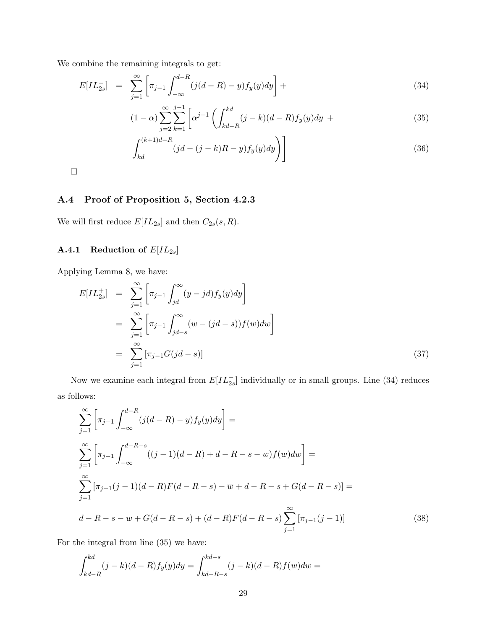We combine the remaining integrals to get:

$$
E[IL_{2s}^-] = \sum_{j=1}^{\infty} \left[ \pi_{j-1} \int_{-\infty}^{d-R} (j(d-R) - y) f_y(y) dy \right] + \tag{34}
$$

$$
(1 - \alpha) \sum_{j=2}^{\infty} \sum_{k=1}^{j-1} \left[ \alpha^{j-1} \left( \int_{kd-R}^{kd} (j-k)(d-R) f_y(y) dy \right. + \right. \tag{35}
$$

$$
\int_{kd}^{(k+1)d-R} (jd - (j - k)R - y) f_y(y) dy \Bigg) \Bigg]
$$
\n(36)

 $\Box$ 

## A.4 Proof of Proposition 5, Section 4.2.3

We will first reduce  $E[IL_{2s}]$  and then  $C_{2s}(s,R).$ 

# **A.4.1** Reduction of  $E[IL_{2s}]$

Applying Lemma 8, we have:

$$
E[IL_{2s}^{+}] = \sum_{j=1}^{\infty} \left[ \pi_{j-1} \int_{jd}^{\infty} (y - jd) f_y(y) dy \right]
$$
  

$$
= \sum_{j=1}^{\infty} \left[ \pi_{j-1} \int_{jd-s}^{\infty} (w - (jd - s)) f(w) dw \right]
$$
  

$$
= \sum_{j=1}^{\infty} \left[ \pi_{j-1} G(jd - s) \right]
$$
(37)

Now we examine each integral from  $E[IL_{2s}^-]$  individually or in small groups. Line (34) reduces as follows:

$$
\sum_{j=1}^{\infty} \left[ \pi_{j-1} \int_{-\infty}^{d-R} (j(d-R) - y) f_y(y) dy \right] =
$$
\n
$$
\sum_{j=1}^{\infty} \left[ \pi_{j-1} \int_{-\infty}^{d-R-s} ((j-1)(d-R) + d - R - s - w) f(w) dw \right] =
$$
\n
$$
\sum_{j=1}^{\infty} \left[ \pi_{j-1} (j-1)(d-R) F(d-R-s) - \overline{w} + d - R - s + G(d-R-s) \right] =
$$
\n
$$
d-R - s - \overline{w} + G(d-R-s) + (d-R) F(d-R-s) \sum_{j=1}^{\infty} \left[ \pi_{j-1} (j-1) \right] \tag{38}
$$

For the integral from line (35) we have:

$$
\int_{kd-R}^{kd} (j-k)(d-R)f_y(y)dy = \int_{kd-R-s}^{kd-s} (j-k)(d-R)f(w)dw =
$$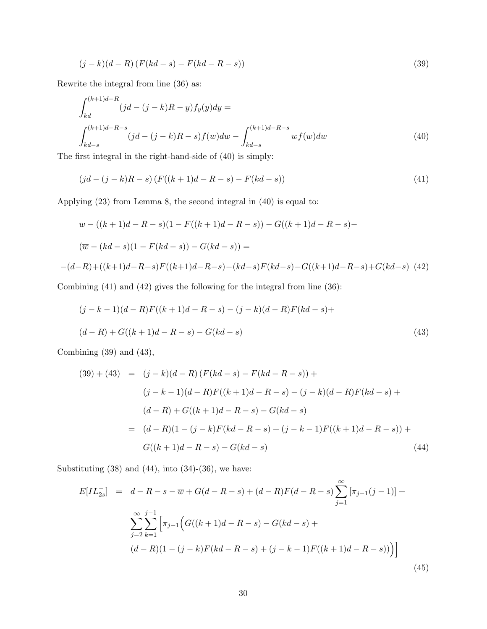$$
(j-k)(d-R)\left(F(kd-s) - F(kd-R-s)\right) \tag{39}
$$

Rewrite the integral from line (36) as:

$$
\int_{kd}^{(k+1)d-R} (jd - (j - k)R - y) f_y(y) dy =
$$
\n
$$
\int_{kd-s}^{(k+1)d-R-s} (jd - (j - k)R - s) f(w) dw - \int_{kd-s}^{(k+1)d-R-s} wf(w) dw \tag{40}
$$

The first integral in the right-hand-side of (40) is simply:

$$
(jd - (j - k)R - s) (F((k + 1)d - R - s) - F(kd - s))
$$
\n(41)

Applying (23) from Lemma 8, the second integral in (40) is equal to:

$$
\overline{w} - ((k+1)d - R - s)(1 - F((k+1)d - R - s)) - G((k+1)d - R - s) -
$$
  

$$
(\overline{w} - (kd - s)(1 - F(kd - s)) - G(kd - s)) =
$$
  

$$
-(d-R) + ((k+1)d - R - s)F((k+1)d - R - s) - (kd - s)F(kd - s) - G((k+1)d - R - s) + G(kd - s)
$$
 (42)

Combining (41) and (42) gives the following for the integral from line (36):

$$
(j-k-1)(d-R)F((k+1)d-R-s) - (j-k)(d-R)F(kd-s) +(d-R) + G((k+1)d-R-s) - G(kd-s)
$$
\n(43)

Combining (39) and (43),

$$
(39) + (43) = (j - k)(d - R) (F(kd - s) - F(kd - R - s)) +(j - k - 1)(d - R)F((k + 1)d - R - s) - (j - k)(d - R)F(kd - s) +(d - R) + G((k + 1)d - R - s) - G(kd - s)= (d - R)(1 - (j - k)F(kd - R - s) + (j - k - 1)F((k + 1)d - R - s)) +G((k + 1)d - R - s) - G(kd - s)
$$
(44)

Substituting  $(38)$  and  $(44)$ , into  $(34)-(36)$ , we have:

$$
E[IL_{2s}^-] = d - R - s - \overline{w} + G(d - R - s) + (d - R)F(d - R - s) \sum_{j=1}^{\infty} [\pi_{j-1}(j-1)] +
$$
  

$$
\sum_{j=2}^{\infty} \sum_{k=1}^{j-1} [\pi_{j-1}(G((k+1)d - R - s) - G(kd - s) +
$$
  

$$
(d - R)(1 - (j - k)F(kd - R - s) + (j - k - 1)F((k+1)d - R - s)))]
$$
\n(45)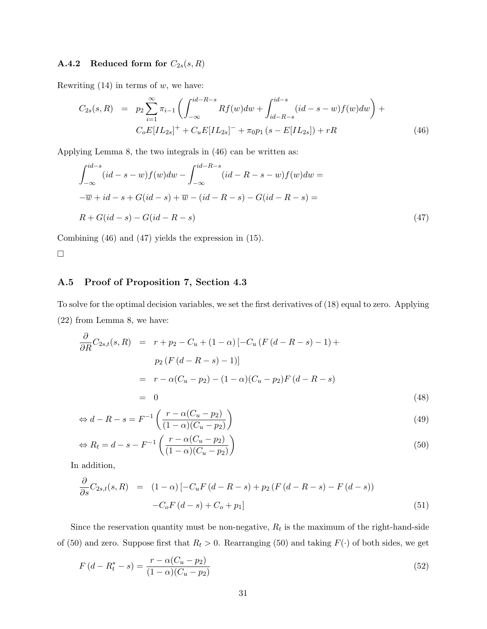## **A.4.2** Reduced form for  $C_{2s}(s, R)$

Rewriting  $(14)$  in terms of w, we have:

$$
C_{2s}(s,R) = p_2 \sum_{i=1}^{\infty} \pi_{i-1} \left( \int_{-\infty}^{id-R-s} Rf(w)dw + \int_{id-R-s}^{id-s} (id-s-w)f(w)dw \right) +
$$
  

$$
C_oE[I_{2s}]^+ + C_uE[I_{2s}]^- + \pi_0 p_1 (s - E[I_{2s}]) + rR
$$
 (46)

Applying Lemma 8, the two integrals in (46) can be written as:

$$
\int_{-\infty}^{id-s} (id - s - w) f(w) dw - \int_{-\infty}^{id - R - s} (id - R - s - w) f(w) dw =
$$
  

$$
-\overline{w} + id - s + G(id - s) + \overline{w} - (id - R - s) - G(id - R - s) =
$$
  

$$
R + G(id - s) - G(id - R - s)
$$
 (47)

Combining (46) and (47) yields the expression in (15).

 $\Box$ 

#### A.5 Proof of Proposition 7, Section 4.3

To solve for the optimal decision variables, we set the first derivatives of (18) equal to zero. Applying (22) from Lemma 8, we have:

$$
\frac{\partial}{\partial R} C_{2s,t}(s,R) = r + p_2 - C_u + (1 - \alpha) \left[ -C_u \left( F \left( d - R - s \right) - 1 \right) + p_2 \left( F \left( d - R - s \right) - 1 \right) \right]
$$
\n
$$
= r - \alpha (C_u - p_2) - (1 - \alpha) (C_u - p_2) F \left( d - R - s \right)
$$
\n
$$
= 0 \tag{48}
$$

$$
\Leftrightarrow d - R - s = F^{-1}\left(\frac{r - \alpha(C_u - p_2)}{(1 - \alpha)(C_u - p_2)}\right)
$$
\n(49)

$$
\Leftrightarrow R_t = d - s - F^{-1} \left( \frac{r - \alpha (C_u - p_2)}{(1 - \alpha)(C_u - p_2)} \right)
$$
\n
$$
(50)
$$

In addition,

$$
\frac{\partial}{\partial s} C_{2s,t}(s,R) = (1 - \alpha) \left[ -C_u F(d - R - s) + p_2 \left( F(d - R - s) - F(d - s) \right) - C_o F(d - s) + C_o + p_1 \right]
$$
\n(51)

Since the reservation quantity must be non-negative,  $R_t$  is the maximum of the right-hand-side of (50) and zero. Suppose first that  $R_t > 0$ . Rearranging (50) and taking  $F(\cdot)$  of both sides, we get

$$
F(d - R_t^* - s) = \frac{r - \alpha(C_u - p_2)}{(1 - \alpha)(C_u - p_2)}
$$
\n(52)